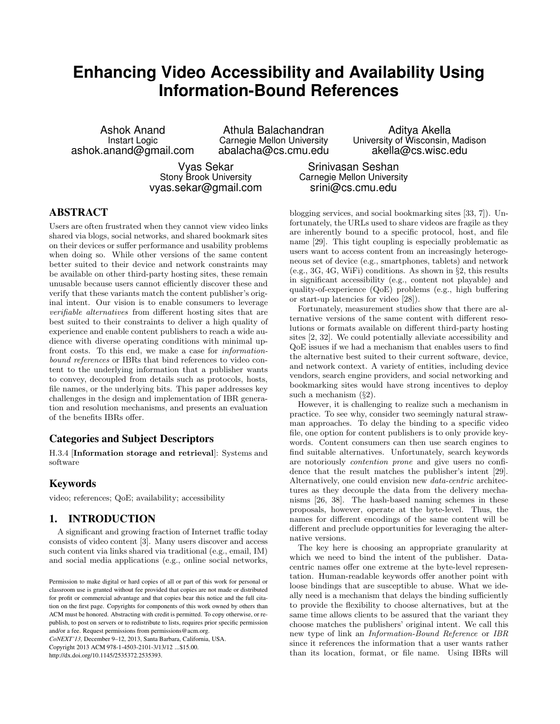# **Enhancing Video Accessibility and Availability Using Information-Bound References**

Ashok Anand Instart Logic ashok.anand@gmail.com

Athula Balachandran Carnegie Mellon University abalacha@cs.cmu.edu

Vyas Sekar Stony Brook University vyas.sekar@gmail.com

Aditya Akella University of Wisconsin, Madison akella@cs.wisc.edu

Srinivasan Seshan Carnegie Mellon University srini@cs.cmu.edu

# ABSTRACT

Users are often frustrated when they cannot view video links shared via blogs, social networks, and shared bookmark sites on their devices or suffer performance and usability problems when doing so. While other versions of the same content better suited to their device and network constraints may be available on other third-party hosting sites, these remain unusable because users cannot efficiently discover these and verify that these variants match the content publisher's original intent. Our vision is to enable consumers to leverage verifiable alternatives from different hosting sites that are best suited to their constraints to deliver a high quality of experience and enable content publishers to reach a wide audience with diverse operating conditions with minimal upfront costs. To this end, we make a case for informationbound references or IBRs that bind references to video content to the underlying information that a publisher wants to convey, decoupled from details such as protocols, hosts, file names, or the underlying bits. This paper addresses key challenges in the design and implementation of IBR generation and resolution mechanisms, and presents an evaluation of the benefits IBRs offer.

## Categories and Subject Descriptors

H.3.4 [Information storage and retrieval]: Systems and software

#### Keywords

video; references; QoE; availability; accessibility

## 1. INTRODUCTION

A significant and growing fraction of Internet traffic today consists of video content [3]. Many users discover and access such content via links shared via traditional (e.g., email, IM) and social media applications (e.g., online social networks,

*CoNEXT'13,* December 9–12, 2013, Santa Barbara, California, USA. Copyright 2013 ACM 978-1-4503-2101-3/13/12 ...\$15.00.

http://dx.doi.org/10.1145/2535372.2535393.

blogging services, and social bookmarking sites [33, 7]). Unfortunately, the URLs used to share videos are fragile as they are inherently bound to a specific protocol, host, and file name [29]. This tight coupling is especially problematic as users want to access content from an increasingly heterogeneous set of device (e.g., smartphones, tablets) and network (e.g., 3G, 4G, WiFi) conditions. As shown in §2, this results in significant accessibility (e.g., content not playable) and quality-of-experience (QoE) problems (e.g., high buffering or start-up latencies for video [28]).

Fortunately, measurement studies show that there are alternative versions of the same content with different resolutions or formats available on different third-party hosting sites [2, 32]. We could potentially alleviate accessibility and QoE issues if we had a mechanism that enables users to find the alternative best suited to their current software, device, and network context. A variety of entities, including device vendors, search engine providers, and social networking and bookmarking sites would have strong incentives to deploy such a mechanism  $(\S_2)$ .

However, it is challenging to realize such a mechanism in practice. To see why, consider two seemingly natural strawman approaches. To delay the binding to a specific video file, one option for content publishers is to only provide keywords. Content consumers can then use search engines to find suitable alternatives. Unfortunately, search keywords are notoriously contention prone and give users no confidence that the result matches the publisher's intent [29]. Alternatively, one could envision new data-centric architectures as they decouple the data from the delivery mechanisms [26, 38]. The hash-based naming schemes in these proposals, however, operate at the byte-level. Thus, the names for different encodings of the same content will be different and preclude opportunities for leveraging the alternative versions.

The key here is choosing an appropriate granularity at which we need to bind the intent of the publisher. Datacentric names offer one extreme at the byte-level representation. Human-readable keywords offer another point with loose bindings that are susceptible to abuse. What we ideally need is a mechanism that delays the binding sufficiently to provide the flexibility to choose alternatives, but at the same time allows clients to be assured that the variant they choose matches the publishers' original intent. We call this new type of link an Information-Bound Reference or IBR since it references the information that a user wants rather than its location, format, or file name. Using IBRs will

Permission to make digital or hard copies of all or part of this work for personal or classroom use is granted without fee provided that copies are not made or distributed for profit or commercial advantage and that copies bear this notice and the full citation on the first page. Copyrights for components of this work owned by others than ACM must be honored. Abstracting with credit is permitted. To copy otherwise, or republish, to post on servers or to redistribute to lists, requires prior specific permission and/or a fee. Request permissions from permissions@acm.org.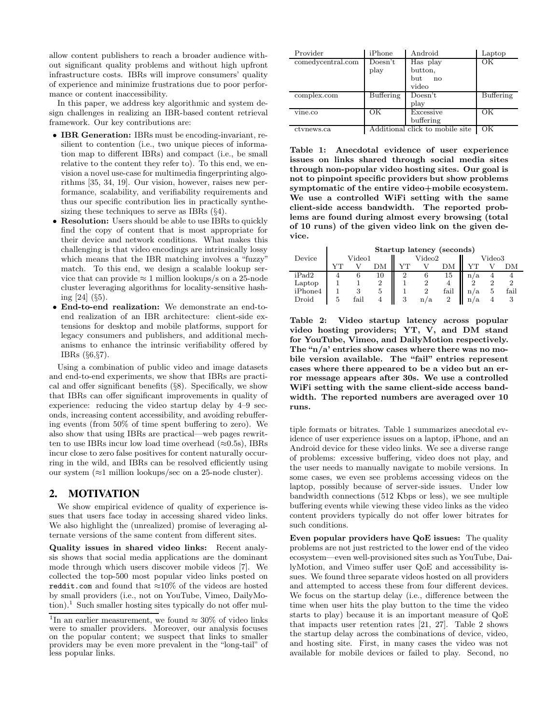allow content publishers to reach a broader audience without significant quality problems and without high upfront infrastructure costs. IBRs will improve consumers' quality of experience and minimize frustrations due to poor performance or content inaccessibility.

In this paper, we address key algorithmic and system design challenges in realizing an IBR-based content retrieval framework. Our key contributions are:

- IBR Generation: IBRs must be encoding-invariant, resilient to contention (i.e., two unique pieces of information map to different IBRs) and compact (i.e., be small relative to the content they refer to). To this end, we envision a novel use-case for multimedia fingerprinting algorithms [35, 34, 19]. Our vision, however, raises new performance, scalability, and verifiability requirements and thus our specific contribution lies in practically synthesizing these techniques to serve as IBRs (§4).
- Resolution: Users should be able to use IBRs to quickly find the copy of content that is most appropriate for their device and network conditions. What makes this challenging is that video encodings are intrinsically lossy which means that the IBR matching involves a "fuzzy" match. To this end, we design a scalable lookup service that can provide  $\approx 1$  million lookups/s on a 25-node cluster leveraging algorithms for locality-sensitive hashing [24] (§5).
- End-to-end realization: We demonstrate an end-toend realization of an IBR architecture: client-side extensions for desktop and mobile platforms, support for legacy consumers and publishers, and additional mechanisms to enhance the intrinsic verifiability offered by IBRs (§6,§7).

Using a combination of public video and image datasets and end-to-end experiments, we show that IBRs are practical and offer significant benefits (§8). Specifically, we show that IBRs can offer significant improvements in quality of experience: reducing the video startup delay by 4–9 seconds, increasing content accessibility, and avoiding rebuffering events (from 50% of time spent buffering to zero). We also show that using IBRs are practical—web pages rewritten to use IBRs incur low load time overhead  $(\approx 0.5s)$ , IBRs incur close to zero false positives for content naturally occurring in the wild, and IBRs can be resolved efficiently using our system (≈1 million lookups/sec on a 25-node cluster).

## 2. MOTIVATION

We show empirical evidence of quality of experience issues that users face today in accessing shared video links. We also highlight the (unrealized) promise of leveraging alternate versions of the same content from different sites.

Quality issues in shared video links: Recent analysis shows that social media applications are the dominant mode through which users discover mobile videos [7]. We collected the top-500 most popular video links posted on reddit.com and found that  $\approx 10\%$  of the videos are hosted by small providers (i.e., not on YouTube, Vimeo, DailyMotion).<sup>1</sup> Such smaller hosting sites typically do not offer mul-

| Provider          | iPhone              | Android                         | Laptop    |  |
|-------------------|---------------------|---------------------------------|-----------|--|
| comedycentral.com | Doesn't<br>Has play |                                 | OК        |  |
|                   | play                | button,                         |           |  |
|                   |                     | but<br>no                       |           |  |
|                   |                     | video                           |           |  |
| complex.com       | Buffering           | Doesn't                         | Buffering |  |
|                   |                     | play                            |           |  |
| vine.co           | OК                  | Excessive                       | OК        |  |
|                   |                     | buffering                       |           |  |
| ctynews.ca        |                     | Additional click to mobile site |           |  |

Table 1: Anecdotal evidence of user experience issues on links shared through social media sites through non-popular video hosting sites. Our goal is not to pinpoint specific providers but show problems symptomatic of the entire video+mobile ecosystem. We use a controlled WiFi setting with the same client-side access bandwidth. The reported problems are found during almost every browsing (total of 10 runs) of the given video link on the given device.

|         | Startup latency (seconds) |                 |    |        |     |        |          |    |               |
|---------|---------------------------|-----------------|----|--------|-----|--------|----------|----|---------------|
| Device  |                           | $_{\rm Video1}$ |    | Video2 |     | Video3 |          |    |               |
|         |                           |                 | DМ |        |     | DΜ     |          |    |               |
| iPad2   |                           |                 | 10 | 2      |     | 15     | n/<br>'a |    |               |
| Laptop  |                           |                 |    |        |     |        |          |    | 9             |
| iPhone4 |                           |                 | 5  |        | 2   | fail   | n/a      | 5. | $_{\rm fail}$ |
| Droid   | 5                         | fail            |    | 3      | n/a |        | n/a      |    |               |

Table 2: Video startup latency across popular video hosting providers; YT, V, and DM stand for YouTube, Vimeo, and DailyMotion respectively. The "n/a' entries show cases where there was no mobile version available. The "fail" entries represent cases where there appeared to be a video but an error message appears after 30s. We use a controlled WiFi setting with the same client-side access bandwidth. The reported numbers are averaged over 10 runs.

tiple formats or bitrates. Table 1 summarizes anecdotal evidence of user experience issues on a laptop, iPhone, and an Android device for these video links. We see a diverse range of problems: excessive buffering, video does not play, and the user needs to manually navigate to mobile versions. In some cases, we even see problems accessing videos on the laptop, possibly because of server-side issues. Under low bandwidth connections (512 Kbps or less), we see multiple buffering events while viewing these video links as the video content providers typically do not offer lower bitrates for such conditions.

Even popular providers have QoE issues: The quality problems are not just restricted to the lower end of the video ecosystem—even well-provisioned sites such as YouTube, DailyMotion, and Vimeo suffer user QoE and accessibility issues. We found three separate videos hosted on all providers and attempted to access these from four different devices. We focus on the startup delay (i.e., difference between the time when user hits the play button to the time the video starts to play) because it is an important measure of QoE that impacts user retention rates [21, 27]. Table 2 shows the startup delay across the combinations of device, video, and hosting site. First, in many cases the video was not available for mobile devices or failed to play. Second, no

<sup>&</sup>lt;sup>1</sup>In an earlier measurement, we found  $\approx 30\%$  of video links were to smaller providers. Moreover, our analysis focuses on the popular content; we suspect that links to smaller providers may be even more prevalent in the "long-tail" of less popular links.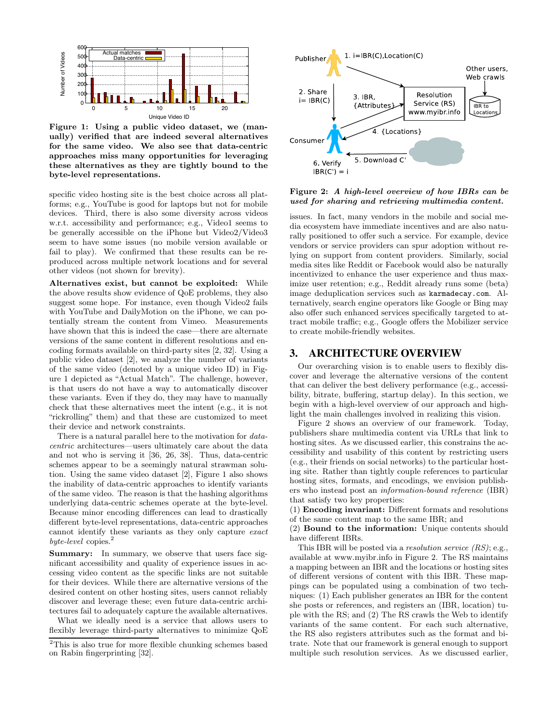

Figure 1: Using a public video dataset, we (manually) verified that are indeed several alternatives for the same video. We also see that data-centric approaches miss many opportunities for leveraging these alternatives as they are tightly bound to the byte-level representations.

specific video hosting site is the best choice across all platforms; e.g., YouTube is good for laptops but not for mobile devices. Third, there is also some diversity across videos w.r.t. accessibility and performance; e.g., Video1 seems to be generally accessible on the iPhone but Video2/Video3 seem to have some issues (no mobile version available or fail to play). We confirmed that these results can be reproduced across multiple network locations and for several other videos (not shown for brevity).

Alternatives exist, but cannot be exploited: While the above results show evidence of QoE problems, they also suggest some hope. For instance, even though Video2 fails with YouTube and DailyMotion on the iPhone, we can potentially stream the content from Vimeo. Measurements have shown that this is indeed the case—there are alternate versions of the same content in different resolutions and encoding formats available on third-party sites [2, 32]. Using a public video dataset [2], we analyze the number of variants of the same video (denoted by a unique video ID) in Figure 1 depicted as "Actual Match". The challenge, however, is that users do not have a way to automatically discover these variants. Even if they do, they may have to manually check that these alternatives meet the intent (e.g., it is not "rickrolling" them) and that these are customized to meet their device and network constraints.

There is a natural parallel here to the motivation for datacentric architectures—users ultimately care about the data and not who is serving it [36, 26, 38]. Thus, data-centric schemes appear to be a seemingly natural strawman solution. Using the same video dataset [2], Figure 1 also shows the inability of data-centric approaches to identify variants of the same video. The reason is that the hashing algorithms underlying data-centric schemes operate at the byte-level. Because minor encoding differences can lead to drastically different byte-level representations, data-centric approaches cannot identify these variants as they only capture exact byte-level copies.

Summary: In summary, we observe that users face significant accessibility and quality of experience issues in accessing video content as the specific links are not suitable for their devices. While there are alternative versions of the desired content on other hosting sites, users cannot reliably discover and leverage these; even future data-centric architectures fail to adequately capture the available alternatives.

What we ideally need is a service that allows users to flexibly leverage third-party alternatives to minimize QoE



Figure 2: A high-level overview of how IBRs can be used for sharing and retrieving multimedia content.

issues. In fact, many vendors in the mobile and social media ecosystem have immediate incentives and are also naturally positioned to offer such a service. For example, device vendors or service providers can spur adoption without relying on support from content providers. Similarly, social media sites like Reddit or Facebook would also be naturally incentivized to enhance the user experience and thus maximize user retention; e.g., Reddit already runs some (beta) image deduplication services such as karmadecay.com. Alternatively, search engine operators like Google or Bing may also offer such enhanced services specifically targeted to attract mobile traffic; e.g., Google offers the Mobilizer service to create mobile-friendly websites.

## 3. ARCHITECTURE OVERVIEW

Our overarching vision is to enable users to flexibly discover and leverage the alternative versions of the content that can deliver the best delivery performance (e.g., accessibility, bitrate, buffering, startup delay). In this section, we begin with a high-level overview of our approach and highlight the main challenges involved in realizing this vision.

Figure 2 shows an overview of our framework. Today, publishers share multimedia content via URLs that link to hosting sites. As we discussed earlier, this constrains the accessibility and usability of this content by restricting users (e.g., their friends on social networks) to the particular hosting site. Rather than tightly couple references to particular hosting sites, formats, and encodings, we envision publishers who instead post an information-bound reference (IBR) that satisfy two key properties:

(1) Encoding invariant: Different formats and resolutions of the same content map to the same IBR; and

(2) Bound to the information: Unique contents should have different IBRs.

This IBR will be posted via a resolution service (RS); e.g., available at www.myibr.info in Figure 2. The RS maintains a mapping between an IBR and the locations or hosting sites of different versions of content with this IBR. These mappings can be populated using a combination of two techniques: (1) Each publisher generates an IBR for the content she posts or references, and registers an (IBR, location) tuple with the RS; and (2) The RS crawls the Web to identify variants of the same content. For each such alternative, the RS also registers attributes such as the format and bitrate. Note that our framework is general enough to support multiple such resolution services. As we discussed earlier,

<sup>2</sup>This is also true for more flexible chunking schemes based on Rabin fingerprinting [32].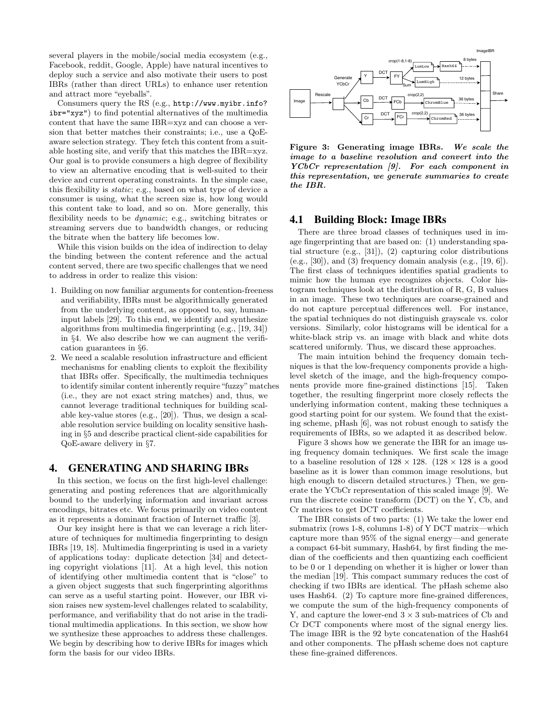several players in the mobile/social media ecosystem (e.g., Facebook, reddit, Google, Apple) have natural incentives to deploy such a service and also motivate their users to post IBRs (rather than direct URLs) to enhance user retention and attract more "eyeballs".

Consumers query the RS (e.g., http://www.myibr.info? ibr="xyz") to find potential alternatives of the multimedia content that have the same IBR=xyz and can choose a version that better matches their constraints; i.e., use a QoEaware selection strategy. They fetch this content from a suitable hosting site, and verify that this matches the IBR=xyz. Our goal is to provide consumers a high degree of flexibility to view an alternative encoding that is well-suited to their device and current operating constraints. In the simple case, this flexibility is static; e.g., based on what type of device a consumer is using, what the screen size is, how long would this content take to load, and so on. More generally, this flexibility needs to be dynamic; e.g., switching bitrates or streaming servers due to bandwidth changes, or reducing the bitrate when the battery life becomes low.

While this vision builds on the idea of indirection to delay the binding between the content reference and the actual content served, there are two specific challenges that we need to address in order to realize this vision:

- 1. Building on now familiar arguments for contention-freeness and verifiability, IBRs must be algorithmically generated from the underlying content, as opposed to, say, humaninput labels [29]. To this end, we identify and synthesize algorithms from multimedia fingerprinting (e.g., [19, 34]) in §4. We also describe how we can augment the verification guarantees in §6.
- 2. We need a scalable resolution infrastructure and efficient mechanisms for enabling clients to exploit the flexibility that IBRs offer. Specifically, the multimedia techniques to identify similar content inherently require"fuzzy"matches (i.e., they are not exact string matches) and, thus, we cannot leverage traditional techniques for building scalable key-value stores (e.g., [20]). Thus, we design a scalable resolution service building on locality sensitive hashing in §5 and describe practical client-side capabilities for QoE-aware delivery in §7.

## 4. GENERATING AND SHARING IBRs

In this section, we focus on the first high-level challenge: generating and posting references that are algorithmically bound to the underlying information and invariant across encodings, bitrates etc. We focus primarily on video content as it represents a dominant fraction of Internet traffic [3].

Our key insight here is that we can leverage a rich literature of techniques for multimedia fingerprinting to design IBRs [19, 18]. Multimedia fingerprinting is used in a variety of applications today: duplicate detection [34] and detecting copyright violations [11]. At a high level, this notion of identifying other multimedia content that is "close" to a given object suggests that such fingerprinting algorithms can serve as a useful starting point. However, our IBR vision raises new system-level challenges related to scalability, performance, and verifiability that do not arise in the traditional multimedia applications. In this section, we show how we synthesize these approaches to address these challenges. We begin by describing how to derive IBRs for images which form the basis for our video IBRs.



Figure 3: Generating image IBRs. We scale the image to a baseline resolution and convert into the YCbCr representation [9]. For each component in this representation, we generate summaries to create the IBR.

#### 4.1 Building Block: Image IBRs

There are three broad classes of techniques used in image fingerprinting that are based on: (1) understanding spatial structure (e.g., [31]), (2) capturing color distributions  $(e.g., [30]),$  and  $(3)$  frequency domain analysis  $(e.g., [19, 6]).$ The first class of techniques identifies spatial gradients to mimic how the human eye recognizes objects. Color histogram techniques look at the distribution of R, G, B values in an image. These two techniques are coarse-grained and do not capture perceptual differences well. For instance, the spatial techniques do not distinguish grayscale vs. color versions. Similarly, color histograms will be identical for a white-black strip vs. an image with black and white dots scattered uniformly. Thus, we discard these approaches.

The main intuition behind the frequency domain techniques is that the low-frequency components provide a highlevel sketch of the image, and the high-frequency components provide more fine-grained distinctions [15]. Taken together, the resulting fingerprint more closely reflects the underlying information content, making these techniques a good starting point for our system. We found that the existing scheme, pHash [6], was not robust enough to satisfy the requirements of IBRs, so we adapted it as described below.

Figure 3 shows how we generate the IBR for an image using frequency domain techniques. We first scale the image to a baseline resolution of  $128 \times 128$ .  $(128 \times 128)$  is a good baseline as it is lower than common image resolutions, but high enough to discern detailed structures.) Then, we generate the YCbCr representation of this scaled image [9]. We run the discrete cosine transform (DCT) on the Y, Cb, and Cr matrices to get DCT coefficients.

The IBR consists of two parts: (1) We take the lower end submatrix (rows 1-8, columns 1-8) of Y DCT matrix—which capture more than 95% of the signal energy—and generate a compact 64-bit summary, Hash64, by first finding the median of the coefficients and then quantizing each coefficient to be 0 or 1 depending on whether it is higher or lower than the median [19]. This compact summary reduces the cost of checking if two IBRs are identical. The pHash scheme also uses Hash64. (2) To capture more fine-grained differences, we compute the sum of the high-frequency components of Y, and capture the lower-end  $3 \times 3$  sub-matrices of Cb and Cr DCT components where most of the signal energy lies. The image IBR is the 92 byte concatenation of the Hash64 and other components. The pHash scheme does not capture these fine-grained differences.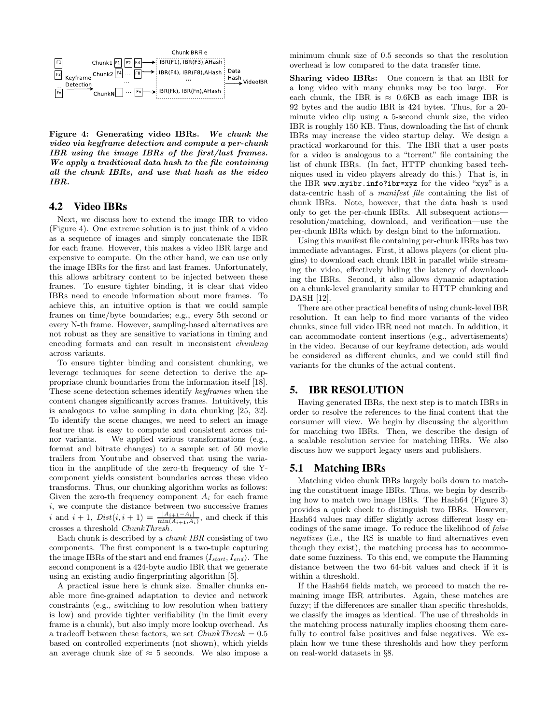

Figure 4: Generating video IBRs. We chunk the video via keyframe detection and compute a per-chunk IBR using the image IBRs of the first/last frames. We apply a traditional data hash to the file containing all the chunk IBRs, and use that hash as the video IBR.

#### 4.2 Video IBRs

Next, we discuss how to extend the image IBR to video (Figure 4). One extreme solution is to just think of a video as a sequence of images and simply concatenate the IBR for each frame. However, this makes a video IBR large and expensive to compute. On the other hand, we can use only the image IBRs for the first and last frames. Unfortunately, this allows arbitrary content to be injected between these frames. To ensure tighter binding, it is clear that video IBRs need to encode information about more frames. To achieve this, an intuitive option is that we could sample frames on time/byte boundaries; e.g., every 5th second or every N-th frame. However, sampling-based alternatives are not robust as they are sensitive to variations in timing and encoding formats and can result in inconsistent chunking across variants.

To ensure tighter binding and consistent chunking, we leverage techniques for scene detection to derive the appropriate chunk boundaries from the information itself [18]. These scene detection schemes identify keyframes when the content changes significantly across frames. Intuitively, this is analogous to value sampling in data chunking [25, 32]. To identify the scene changes, we need to select an image feature that is easy to compute and consistent across minor variants. We applied various transformations (e.g., format and bitrate changes) to a sample set of 50 movie trailers from Youtube and observed that using the variation in the amplitude of the zero-th frequency of the Ycomponent yields consistent boundaries across these video transforms. Thus, our chunking algorithm works as follows: Given the zero-th frequency component  $A_i$  for each frame i, we compute the distance between two successive frames i and  $i + 1$ ,  $Dist(i, i + 1) = \frac{|A_{i+1} - A_i|}{\min(A_{i+1}, A_i)}$ , and check if this crosses a threshold ChunkThresh.

Each chunk is described by a chunk IBR consisting of two components. The first component is a two-tuple capturing the image IBRs of the start and end frames  $\langle I_{start}, I_{end} \rangle$ . The second component is a 424-byte audio IBR that we generate using an existing audio fingerprinting algorithm [5].

A practical issue here is chunk size. Smaller chunks enable more fine-grained adaptation to device and network constraints (e.g., switching to low resolution when battery is low) and provide tighter verifiability (in the limit every frame is a chunk), but also imply more lookup overhead. As a tradeoff between these factors, we set  $\textit{ChunkThresh} = 0.5$ based on controlled experiments (not shown), which yields an average chunk size of  $\approx$  5 seconds. We also impose a

minimum chunk size of 0.5 seconds so that the resolution overhead is low compared to the data transfer time.

Sharing video IBRs: One concern is that an IBR for a long video with many chunks may be too large. For each chunk, the IBR is  $\approx 0.6KB$  as each image IBR is 92 bytes and the audio IBR is 424 bytes. Thus, for a 20 minute video clip using a 5-second chunk size, the video IBR is roughly 150 KB. Thus, downloading the list of chunk IBRs may increase the video startup delay. We design a practical workaround for this. The IBR that a user posts for a video is analogous to a "torrent" file containing the list of chunk IBRs. (In fact, HTTP chunking based techniques used in video players already do this.) That is, in the IBR www.myibr.info?ibr=xyz for the video "xyz" is a data-centric hash of a manifest file containing the list of chunk IBRs. Note, however, that the data hash is used only to get the per-chunk IBRs. All subsequent actions resolution/matching, download, and verification—use the per-chunk IBRs which by design bind to the information.

Using this manifest file containing per-chunk IBRs has two immediate advantages. First, it allows players (or client plugins) to download each chunk IBR in parallel while streaming the video, effectively hiding the latency of downloading the IBRs. Second, it also allows dynamic adaptation on a chunk-level granularity similar to HTTP chunking and DASH [12].

There are other practical benefits of using chunk-level IBR resolution. It can help to find more variants of the video chunks, since full video IBR need not match. In addition, it can accommodate content insertions (e.g., advertisements) in the video. Because of our keyframe detection, ads would be considered as different chunks, and we could still find variants for the chunks of the actual content.

#### 5. IBR RESOLUTION

Having generated IBRs, the next step is to match IBRs in order to resolve the references to the final content that the consumer will view. We begin by discussing the algorithm for matching two IBRs. Then, we describe the design of a scalable resolution service for matching IBRs. We also discuss how we support legacy users and publishers.

## 5.1 Matching IBRs

Matching video chunk IBRs largely boils down to matching the constituent image IBRs. Thus, we begin by describing how to match two image IBRs. The Hash64 (Figure 3) provides a quick check to distinguish two IBRs. However, Hash64 values may differ slightly across different lossy encodings of the same image. To reduce the likelihood of false negatives (i.e., the RS is unable to find alternatives even though they exist), the matching process has to accommodate some fuzziness. To this end, we compute the Hamming distance between the two 64-bit values and check if it is within a threshold.

If the Hash64 fields match, we proceed to match the remaining image IBR attributes. Again, these matches are fuzzy; if the differences are smaller than specific thresholds, we classify the images as identical. The use of thresholds in the matching process naturally implies choosing them carefully to control false positives and false negatives. We explain how we tune these thresholds and how they perform on real-world datasets in §8.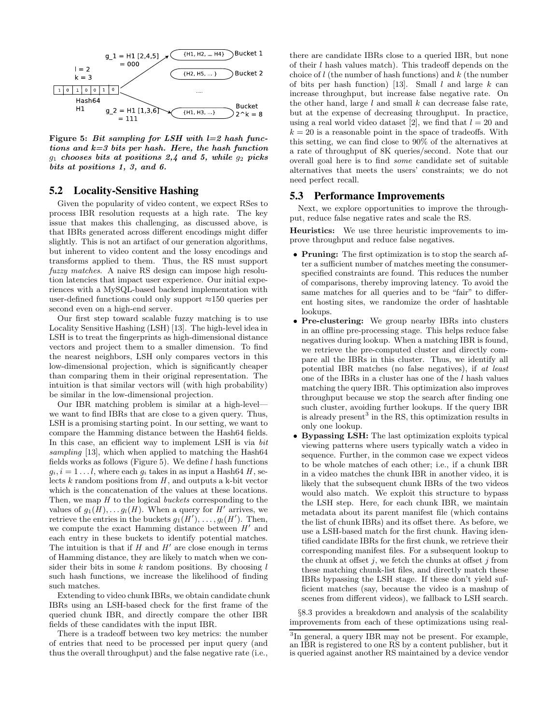

Figure 5: Bit sampling for LSH with  $l=2$  hash functions and  $k=3$  bits per hash. Here, the hash function  $g_1$  chooses bits at positions 2,4 and 5, while  $g_2$  picks bits at positions 1, 3, and 6.

## 5.2 Locality-Sensitive Hashing

Given the popularity of video content, we expect RSes to process IBR resolution requests at a high rate. The key issue that makes this challenging, as discussed above, is that IBRs generated across different encodings might differ slightly. This is not an artifact of our generation algorithms, but inherent to video content and the lossy encodings and transforms applied to them. Thus, the RS must support fuzzy matches. A naive RS design can impose high resolution latencies that impact user experience. Our initial experiences with a MySQL-based backend implementation with user-defined functions could only support ≈150 queries per second even on a high-end server.

Our first step toward scalable fuzzy matching is to use Locality Sensitive Hashing (LSH) [13]. The high-level idea in LSH is to treat the fingerprints as high-dimensional distance vectors and project them to a smaller dimension. To find the nearest neighbors, LSH only compares vectors in this low-dimensional projection, which is significantly cheaper than comparing them in their original representation. The intuition is that similar vectors will (with high probability) be similar in the low-dimensional projection.

Our IBR matching problem is similar at a high-level we want to find IBRs that are close to a given query. Thus, LSH is a promising starting point. In our setting, we want to compare the Hamming distance between the Hash64 fields. In this case, an efficient way to implement LSH is via bit sampling [13], which when applied to matching the Hash64 fields works as follows (Figure 5). We define  $l$  hash functions  $g_i, i = 1 \dots l$ , where each  $g_i$  takes in as input a Hash64 H, selects  $k$  random positions from  $H$ , and outputs a k-bit vector which is the concatenation of the values at these locations. Then, we map  $H$  to the logical *buckets* corresponding to the values of  $g_1(H), \ldots, g_l(H)$ . When a query for H' arrives, we retrieve the entries in the buckets  $g_1(H'), \ldots, g_l(H')$ . Then, we compute the exact Hamming distance between  $H'$  and each entry in these buckets to identify potential matches. The intuition is that if  $H$  and  $H'$  are close enough in terms of Hamming distance, they are likely to match when we consider their bits in some  $k$  random positions. By choosing  $l$ such hash functions, we increase the likelihood of finding such matches.

Extending to video chunk IBRs, we obtain candidate chunk IBRs using an LSH-based check for the first frame of the queried chunk IBR, and directly compare the other IBR fields of these candidates with the input IBR.

There is a tradeoff between two key metrics: the number of entries that need to be processed per input query (and thus the overall throughput) and the false negative rate (i.e., there are candidate IBRs close to a queried IBR, but none of their l hash values match). This tradeoff depends on the choice of  $l$  (the number of hash functions) and  $k$  (the number of bits per hash function) [13]. Small  $l$  and large  $k$  can increase throughput, but increase false negative rate. On the other hand, large  $l$  and small  $k$  can decrease false rate, but at the expense of decreasing throughput. In practice, using a real world video dataset [2], we find that  $l = 20$  and  $k = 20$  is a reasonable point in the space of tradeoffs. With this setting, we can find close to 90% of the alternatives at a rate of throughput of 8K queries/second. Note that our overall goal here is to find some candidate set of suitable alternatives that meets the users' constraints; we do not need perfect recall.

## 5.3 Performance Improvements

Next, we explore opportunities to improve the throughput, reduce false negative rates and scale the RS.

Heuristics: We use three heuristic improvements to improve throughput and reduce false negatives.

- Pruning: The first optimization is to stop the search after a sufficient number of matches meeting the consumerspecified constraints are found. This reduces the number of comparisons, thereby improving latency. To avoid the same matches for all queries and to be "fair" to different hosting sites, we randomize the order of hashtable lookups.
- Pre-clustering: We group nearby IBRs into clusters in an offline pre-processing stage. This helps reduce false negatives during lookup. When a matching IBR is found, we retrieve the pre-computed cluster and directly compare all the IBRs in this cluster. Thus, we identify all potential IBR matches (no false negatives), if at least one of the IBRs in a cluster has one of the l hash values matching the query IBR. This optimization also improves throughput because we stop the search after finding one such cluster, avoiding further lookups. If the query IBR is already present<sup>3</sup> in the RS, this optimization results in only one lookup.
- Bypassing LSH: The last optimization exploits typical viewing patterns where users typically watch a video in sequence. Further, in the common case we expect videos to be whole matches of each other; i.e., if a chunk IBR in a video matches the chunk IBR in another video, it is likely that the subsequent chunk IBRs of the two videos would also match. We exploit this structure to bypass the LSH step. Here, for each chunk IBR, we maintain metadata about its parent manifest file (which contains the list of chunk IBRs) and its offset there. As before, we use a LSH-based match for the first chunk. Having identified candidate IBRs for the first chunk, we retrieve their corresponding manifest files. For a subsequent lookup to the chunk at offset  $j$ , we fetch the chunks at offset  $j$  from these matching chunk-list files, and directly match these IBRs bypassing the LSH stage. If these don't yield sufficient matches (say, because the video is a mashup of scenes from different videos), we fallback to LSH search.

§8.3 provides a breakdown and analysis of the scalability improvements from each of these optimizations using real-

<sup>&</sup>lt;sup>3</sup>In general, a query IBR may not be present. For example, an IBR is registered to one RS by a content publisher, but it is queried against another RS maintained by a device vendor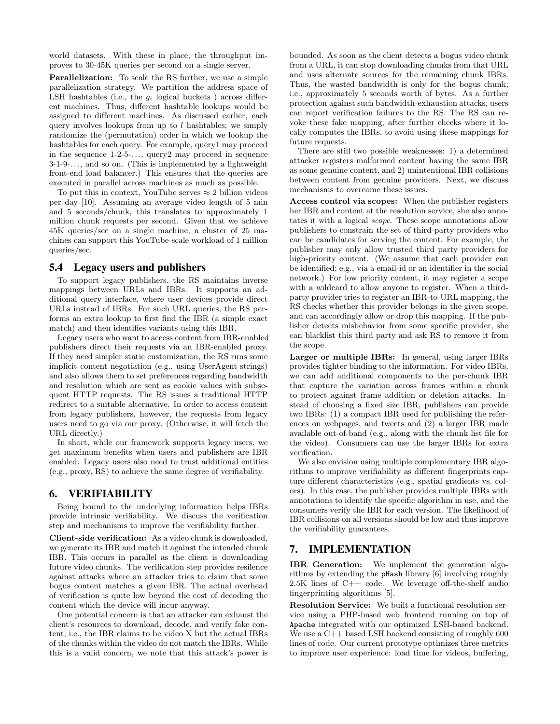world datasets. With these in place, the throughput improves to 30-45K queries per second on a single server.

Parallelization: To scale the RS further, we use a simple parallelization strategy. We partition the address space of LSH hashtables (i.e., the  $q_i$  logical buckets ) across different machines. Thus, different hashtable lookups would be assigned to different machines. As discussed earlier, each query involves lookups from up to  $l$  hashtables; we simply randomize the (permutation) order in which we lookup the hashtables for each query. For example, query1 may proceed in the sequence 1-2-5-..., query2 may proceed in sequence 3-1-9-..., and so on. (This is implemented by a lightweight front-end load balancer.) This ensures that the queries are executed in parallel across machines as much as possible.

To put this in context, YouTube serves  $\approx 2$  billion videos per day [10]. Assuming an average video length of 5 min and 5 seconds/chunk, this translates to approximately 1 million chunk requests per second. Given that we achieve 45K queries/sec on a single machine, a cluster of 25 machines can support this YouTube-scale workload of 1 million queries/sec.

#### 5.4 Legacy users and publishers

To support legacy publishers, the RS maintains inverse mappings between URLs and IBRs. It supports an additional query interface, where user devices provide direct URLs instead of IBRs. For such URL queries, the RS performs an extra lookup to first find the IBR (a simple exact match) and then identifies variants using this IBR.

Legacy users who want to access content from IBR-enabled publishers direct their requests via an IBR-enabled proxy. If they need simpler static customization, the RS runs some implicit content negotiation (e.g., using UserAgent strings) and also allows them to set preferences regarding bandwidth and resolution which are sent as cookie values with subsequent HTTP requests. The RS issues a traditional HTTP redirect to a suitable alternative. In order to access content from legacy publishers, however, the requests from legacy users need to go via our proxy. (Otherwise, it will fetch the URL directly.)

In short, while our framework supports legacy users, we get maximum benefits when users and publishers are IBR enabled. Legacy users also need to trust additional entities (e.g., proxy, RS) to achieve the same degree of verifiability.

## 6. VERIFIABILITY

Being bound to the underlying information helps IBRs provide intrinsic verifiability. We discuss the verification step and mechanisms to improve the verifiability further.

Client-side verification: As a video chunk is downloaded, we generate its IBR and match it against the intended chunk IBR. This occurs in parallel as the client is downloading future video chunks. The verification step provides resilence against attacks where an attacker tries to claim that some bogus content matches a given IBR. The actual overhead of verification is quite low beyond the cost of decoding the content which the device will incur anyway.

One potential concern is that an attacker can exhaust the client's resources to download, decode, and verify fake content; i.e., the IBR claims to be video X but the actual IBRs of the chunks within the video do not match the IBRs. While this is a valid concern, we note that this attack's power is

bounded. As soon as the client detects a bogus video chunk from a URL, it can stop downloading chunks from that URL and uses alternate sources for the remaining chunk IBRs. Thus, the wasted bandwidth is only for the bogus chunk; i.e., approximately 5 seconds worth of bytes. As a further protection against such bandwidth-exhaustion attacks, users can report verification failures to the RS. The RS can revoke these fake mapping, after further checks where it locally computes the IBRs, to avoid using these mappings for future requests.

There are still two possible weaknesses: 1) a determined attacker registers malformed content having the same IBR as some genuine content, and 2) unintentional IBR collisions between content from genuine providers. Next, we discuss mechanisms to overcome these issues.

Access control via scopes: When the publisher registers her IBR and content at the resolution service, she also annotates it with a logical scope. These scope annotations allow publishers to constrain the set of third-party providers who can be candidates for serving the content. For example, the publisher may only allow trusted third party providers for high-priority content. (We assume that each provider can be identified; e.g., via a email-id or an identifier in the social network.) For low priority content, it may register a scope with a wildcard to allow anyone to register. When a thirdparty provider tries to register an IBR-to-URL mapping, the RS checks whether this provider belongs in the given scope, and can accordingly allow or drop this mapping. If the publisher detects misbehavior from some specific provider, she can blacklist this third party and ask RS to remove it from the scope.

Larger or multiple IBRs: In general, using larger IBRs provides tighter binding to the information. For video IBRs, we can add additional components to the per-chunk IBR that capture the variation across frames within a chunk to protect against frame addition or deletion attacks. Instead of choosing a fixed size IBR, publishers can provide two IBRs: (1) a compact IBR used for publishing the references on webpages, and tweets and (2) a larger IBR made available out-of-band (e.g., along with the chunk list file for the video). Consumers can use the larger IBRs for extra verification.

We also envision using multiple complementary IBR algorithms to improve verifiability as different fingerprints capture different characteristics (e.g., spatial gradients vs. colors). In this case, the publisher provides multiple IBRs with annotations to identify the specific algorithm in use, and the consumers verify the IBR for each version. The likelihood of IBR collisions on all versions should be low and thus improve the verifiability guarantees.

## 7. IMPLEMENTATION

IBR Generation: We implement the generation algorithms by extending the pHash library [6] involving roughly 2.5K lines of C++ code. We leverage off-the-shelf audio fingerprinting algorithms [5].

Resolution Service: We built a functional resolution service using a PHP-based web frontend running on top of Apache integrated with our optimized LSH-based backend. We use a  $C_{++}$  based LSH backend consisting of roughly 600 lines of code. Our current prototype optimizes three metrics to improve user experience: load time for videos, buffering,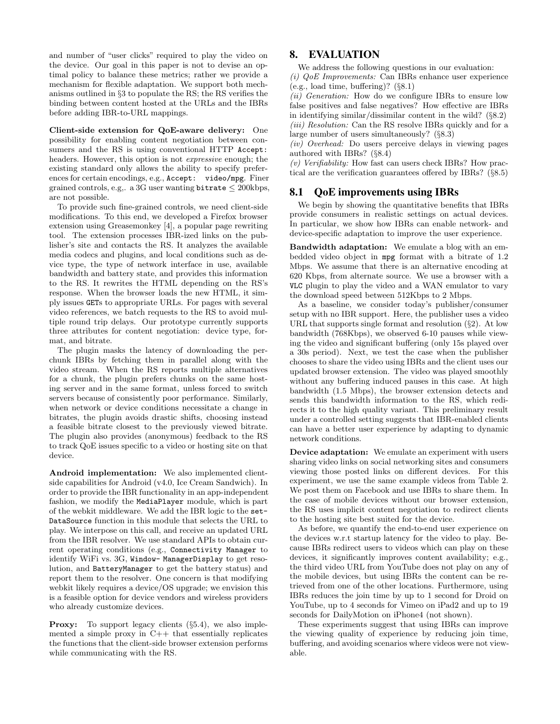and number of "user clicks" required to play the video on the device. Our goal in this paper is not to devise an optimal policy to balance these metrics; rather we provide a mechanism for flexible adaptation. We support both mechanisms outlined in §3 to populate the RS; the RS verifies the binding between content hosted at the URLs and the IBRs before adding IBR-to-URL mappings.

Client-side extension for QoE-aware delivery: One possibility for enabling content negotiation between consumers and the RS is using conventional HTTP Accept: headers. However, this option is not expressive enough; the existing standard only allows the ability to specify preferences for certain encodings, e.g., Accept: video/mpg. Finer grained controls, e.g.. a 3G user wanting bitrate  $\leq$  200kbps, are not possible.

To provide such fine-grained controls, we need client-side modifications. To this end, we developed a Firefox browser extension using Greasemonkey [4], a popular page rewriting tool. The extension processes IBR-ized links on the publisher's site and contacts the RS. It analyzes the available media codecs and plugins, and local conditions such as device type, the type of network interface in use, available bandwidth and battery state, and provides this information to the RS. It rewrites the HTML depending on the RS's response. When the browser loads the new HTML, it simply issues GETs to appropriate URLs. For pages with several video references, we batch requests to the RS to avoid multiple round trip delays. Our prototype currently supports three attributes for content negotiation: device type, format, and bitrate.

The plugin masks the latency of downloading the perchunk IBRs by fetching them in parallel along with the video stream. When the RS reports multiple alternatives for a chunk, the plugin prefers chunks on the same hosting server and in the same format, unless forced to switch servers because of consistently poor performance. Similarly, when network or device conditions necessitate a change in bitrates, the plugin avoids drastic shifts, choosing instead a feasible bitrate closest to the previously viewed bitrate. The plugin also provides (anonymous) feedback to the RS to track QoE issues specific to a video or hosting site on that device.

Android implementation: We also implemented clientside capabilities for Android (v4.0, Ice Cream Sandwich). In order to provide the IBR functionality in an app-independent fashion, we modify the MediaPlayer module, which is part of the webkit middleware. We add the IBR logic to the set-DataSource function in this module that selects the URL to play. We interpose on this call, and receive an updated URL from the IBR resolver. We use standard APIs to obtain current operating conditions (e.g., Connectivity Manager to identify WiFi vs. 3G, Window- ManagerDisplay to get resolution, and BatteryManager to get the battery status) and report them to the resolver. One concern is that modifying webkit likely requires a device/OS upgrade; we envision this is a feasible option for device vendors and wireless providers who already customize devices.

**Proxy:** To support legacy clients  $(\S 5.4)$ , we also implemented a simple proxy in  $C++$  that essentially replicates the functions that the client-side browser extension performs while communicating with the RS.

## 8. EVALUATION

We address the following questions in our evaluation:

(i)  $QoE$  Improvements: Can IBRs enhance user experience (e.g., load time, buffering)? (§8.1)

(ii) Generation: How do we configure IBRs to ensure low false positives and false negatives? How effective are IBRs in identifying similar/dissimilar content in the wild? (§8.2) (iii) Resolution: Can the RS resolve IBRs quickly and for a large number of users simultaneously? (§8.3)

(iv) Overhead: Do users perceive delays in viewing pages authored with IBRs? (§8.4)

(v) Verifiability: How fast can users check IBRs? How practical are the verification guarantees offered by IBRs? (§8.5)

#### 8.1 QoE improvements using IBRs

We begin by showing the quantitative benefits that IBRs provide consumers in realistic settings on actual devices. In particular, we show how IBRs can enable network- and device-specific adaptation to improve the user experience.

Bandwidth adaptation: We emulate a blog with an embedded video object in mpg format with a bitrate of 1.2 Mbps. We assume that there is an alternative encoding at 620 Kbps, from alternate source. We use a browser with a VLC plugin to play the video and a WAN emulator to vary the download speed between 512Kbps to 2 Mbps.

As a baseline, we consider today's publisher/consumer setup with no IBR support. Here, the publisher uses a video URL that supports single format and resolution  $(\S 2)$ . At low bandwidth (768Kbps), we observed 6-10 pauses while viewing the video and significant buffering (only 15s played over a 30s period). Next, we test the case when the publisher chooses to share the video using IBRs and the client uses our updated browser extension. The video was played smoothly without any buffering induced pauses in this case. At high bandwidth (1.5 Mbps), the browser extension detects and sends this bandwidth information to the RS, which redirects it to the high quality variant. This preliminary result under a controlled setting suggests that IBR-enabled clients can have a better user experience by adapting to dynamic network conditions.

Device adaptation: We emulate an experiment with users sharing video links on social networking sites and consumers viewing those posted links on different devices. For this experiment, we use the same example videos from Table 2. We post them on Facebook and use IBRs to share them. In the case of mobile devices without our browser extension, the RS uses implicit content negotiation to redirect clients to the hosting site best suited for the device.

As before, we quantify the end-to-end user experience on the devices w.r.t startup latency for the video to play. Because IBRs redirect users to videos which can play on these devices, it significantly improves content availability; e.g., the third video URL from YouTube does not play on any of the mobile devices, but using IBRs the content can be retrieved from one of the other locations. Furthermore, using IBRs reduces the join time by up to 1 second for Droid on YouTube, up to 4 seconds for Vimeo on iPad2 and up to 19 seconds for DailyMotion on iPhone4 (not shown).

These experiments suggest that using IBRs can improve the viewing quality of experience by reducing join time, buffering, and avoiding scenarios where videos were not viewable.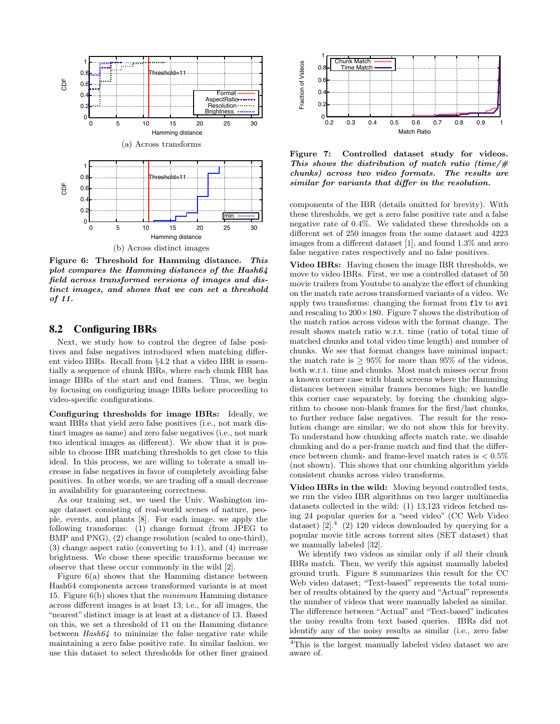

Figure 6: Threshold for Hamming distance. This plot compares the Hamming distances of the Hash64 field across transformed versions of images and distinct images, and shows that we can set a threshold of 11.

#### 8.2 Configuring IBRs

Next, we study how to control the degree of false positives and false negatives introduced when matching different video IBRs. Recall from §4.2 that a video IBR is essentially a sequence of chunk IBRs, where each chunk IBR has image IBRs of the start and end frames. Thus, we begin by focusing on configuring image IBRs before proceeding to video-specific configurations.

Configuring thresholds for image IBRs: Ideally, we want IBRs that yield zero false positives (i.e., not mark distinct images as same) and zero false negatives (i.e., not mark two identical images as different). We show that it is possible to choose IBR matching thresholds to get close to this ideal. In this process, we are willing to tolerate a small increase in false negatives in favor of completely avoiding false positives. In other words, we are trading off a small decrease in availability for guaranteeing correctness.

As our training set, we used the Univ. Washington image dataset consisting of real-world scenes of nature, people, events, and plants [8]. For each image, we apply the following transforms: (1) change format (from JPEG to BMP and PNG), (2) change resolution (scaled to one-third), (3) change aspect ratio (converting to 1:1), and (4) increase brightness. We chose these specific transforms because we observe that these occur commonly in the wild [2].

Figure 6(a) shows that the Hamming distance between Hash64 components across transformed variants is at most 15. Figure 6(b) shows that the minimum Hamming distance across different images is at least 13; i.e., for all images, the "nearest" distinct image is at least at a distance of 13. Based on this, we set a threshold of 11 on the Hamming distance between Hash64 to minimize the false negative rate while maintaining a zero false positive rate. In similar fashion, we use this dataset to select thresholds for other finer grained



Figure 7: Controlled dataset study for videos. This shows the distribution of match ratio (time/ $#$ chunks) across two video formats. The results are similar for variants that differ in the resolution.

components of the IBR (details omitted for brevity). With these thresholds, we get a zero false positive rate and a false negative rate of 0.4%. We validated these thresholds on a different set of 250 images from the same dataset and 4223 images from a different dataset [1], and found 1.3% and zero false negative rates respectively and no false positives.

Video IBRs: Having chosen the image IBR thresholds, we move to video IBRs. First, we use a controlled dataset of 50 movie trailers from Youtube to analyze the effect of chunking on the match rate across transformed variants of a video. We apply two transforms: changing the format from flv to avi and rescaling to  $200 \times 180$ . Figure 7 shows the distribution of the match ratios across videos with the format change. The result shows match ratio w.r.t. time (ratio of total time of matched chunks and total video time length) and number of chunks. We see that format changes have minimal impact; the match rate is  $\geq 95\%$  for more than 95% of the videos, both w.r.t. time and chunks. Most match misses occur from a known corner case with blank screens where the Hamming distances between similar frames becomes high; we handle this corner case separately, by forcing the chunking algorithm to choose non-blank frames for the first/last chunks, to further reduce false negatives. The result for the resolution change are similar; we do not show this for brevity. To understand how chunking affects match rate, we disable chunking and do a per-frame match and find that the difference between chunk- and frame-level match rates is  $< 0.5\%$ (not shown). This shows that our chunking algorithm yields consistent chunks across video transforms.

Video IBRs in the wild: Moving beyond controlled tests, we run the video IBR algorithms on two larger multimedia datasets collected in the wild: (1) 13,123 videos fetched using 24 popular queries for a "seed video" (CC Web Video dataset)  $\left[2\right]$ .<sup>4</sup> (2) 120 videos downloaded by querying for a popular movie title across torrent sites (SET dataset) that we manually labeled [32].

We identify two videos as similar only if all their chunk IBRs match. Then, we verify this against manually labeled ground truth. Figure 8 summarizes this result for the CC Web video dataset; "Text-based" represents the total number of results obtained by the query and "Actual" represents the number of videos that were manually labeled as similar. The difference between "Actual" and "Text-based" indicates the noisy results from text based queries. IBRs did not identify any of the noisy results as similar (i.e., zero false

<sup>4</sup>This is the largest manually labeled video dataset we are aware of.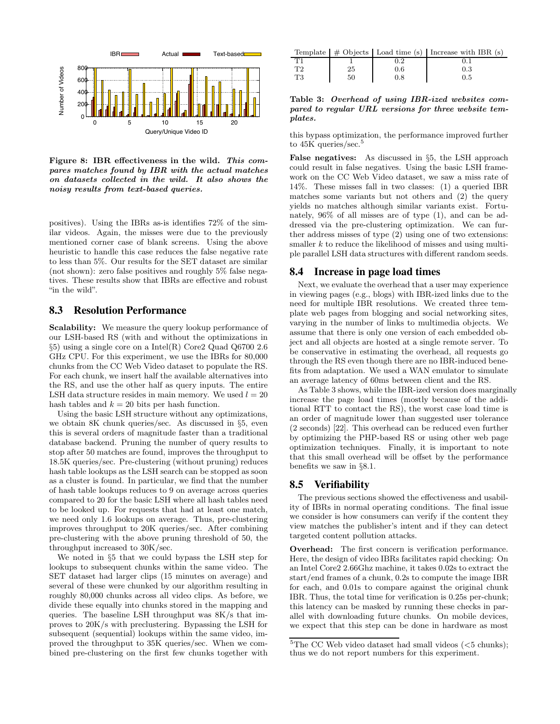

Figure 8: IBR effectiveness in the wild. This compares matches found by IBR with the actual matches on datasets collected in the wild. It also shows the noisy results from text-based queries.

positives). Using the IBRs as-is identifies 72% of the similar videos. Again, the misses were due to the previously mentioned corner case of blank screens. Using the above heuristic to handle this case reduces the false negative rate to less than 5%. Our results for the SET dataset are similar (not shown): zero false positives and roughly 5% false negatives. These results show that IBRs are effective and robust "in the wild".

## 8.3 Resolution Performance

Scalability: We measure the query lookup performance of our LSH-based RS (with and without the optimizations in §5) using a single core on a Intel(R) Core2 Quad Q6700 2.6 GHz CPU. For this experiment, we use the IBRs for 80,000 chunks from the CC Web Video dataset to populate the RS. For each chunk, we insert half the available alternatives into the RS, and use the other half as query inputs. The entire LSH data structure resides in main memory. We used  $l = 20$ hash tables and  $k = 20$  bits per hash function.

Using the basic LSH structure without any optimizations, we obtain 8K chunk queries/sec. As discussed in §5, even this is several orders of magnitude faster than a traditional database backend. Pruning the number of query results to stop after 50 matches are found, improves the throughput to 18.5K queries/sec. Pre-clustering (without pruning) reduces hash table lookups as the LSH search can be stopped as soon as a cluster is found. In particular, we find that the number of hash table lookups reduces to 9 on average across queries compared to 20 for the basic LSH where all hash tables need to be looked up. For requests that had at least one match, we need only 1.6 lookups on average. Thus, pre-clustering improves throughput to 20K queries/sec. After combining pre-clustering with the above pruning threshold of 50, the throughput increased to 30K/sec.

We noted in §5 that we could bypass the LSH step for lookups to subsequent chunks within the same video. The SET dataset had larger clips (15 minutes on average) and several of these were chunked by our algorithm resulting in roughly 80,000 chunks across all video clips. As before, we divide these equally into chunks stored in the mapping and queries. The baseline LSH throughput was 8K/s that improves to 20K/s with preclustering. Bypassing the LSH for subsequent (sequential) lookups within the same video, improved the throughput to 35K queries/sec. When we combined pre-clustering on the first few chunks together with

|           |    |          | Template $\#$ Objects Load time (s) Increase with IBR (s) |
|-----------|----|----------|-----------------------------------------------------------|
|           |    |          |                                                           |
| T2        | 25 | 0.6      | 0.3                                                       |
| <b>T3</b> | 50 | $^{0.8}$ | 0.5                                                       |

Table 3: Overhead of using IBR-ized websites compared to regular URL versions for three website templates.

this bypass optimization, the performance improved further to 45K queries/sec.<sup>5</sup>

False negatives: As discussed in §5, the LSH approach could result in false negatives. Using the basic LSH framework on the CC Web Video dataset, we saw a miss rate of 14%. These misses fall in two classes: (1) a queried IBR matches some variants but not others and (2) the query yields no matches although similar variants exist. Fortunately, 96% of all misses are of type (1), and can be addressed via the pre-clustering optimization. We can further address misses of type (2) using one of two extensions: smaller k to reduce the likelihood of misses and using multiple parallel LSH data structures with different random seeds.

#### 8.4 Increase in page load times

Next, we evaluate the overhead that a user may experience in viewing pages (e.g., blogs) with IBR-ized links due to the need for multiple IBR resolutions. We created three template web pages from blogging and social networking sites, varying in the number of links to multimedia objects. We assume that there is only one version of each embedded object and all objects are hosted at a single remote server. To be conservative in estimating the overhead, all requests go through the RS even though there are no IBR-induced benefits from adaptation. We used a WAN emulator to simulate an average latency of 60ms between client and the RS.

As Table 3 shows, while the IBR-ized version does marginally increase the page load times (mostly because of the additional RTT to contact the RS), the worst case load time is an order of magnitude lower than suggested user tolerance (2 seconds) [22]. This overhead can be reduced even further by optimizing the PHP-based RS or using other web page optimization techniques. Finally, it is important to note that this small overhead will be offset by the performance benefits we saw in §8.1.

#### 8.5 Verifiability

The previous sections showed the effectiveness and usability of IBRs in normal operating conditions. The final issue we consider is how consumers can verify if the content they view matches the publisher's intent and if they can detect targeted content pollution attacks.

Overhead: The first concern is verification performance. Here, the design of video IBRs facilitates rapid checking: On an Intel Core2 2.66Ghz machine, it takes 0.02s to extract the start/end frames of a chunk, 0.2s to compute the image IBR for each, and 0.01s to compare against the original chunk IBR. Thus, the total time for verification is 0.25s per-chunk; this latency can be masked by running these checks in parallel with downloading future chunks. On mobile devices, we expect that this step can be done in hardware as most

 $5$ The CC Web video dataset had small videos ( $<$ 5 chunks); thus we do not report numbers for this experiment.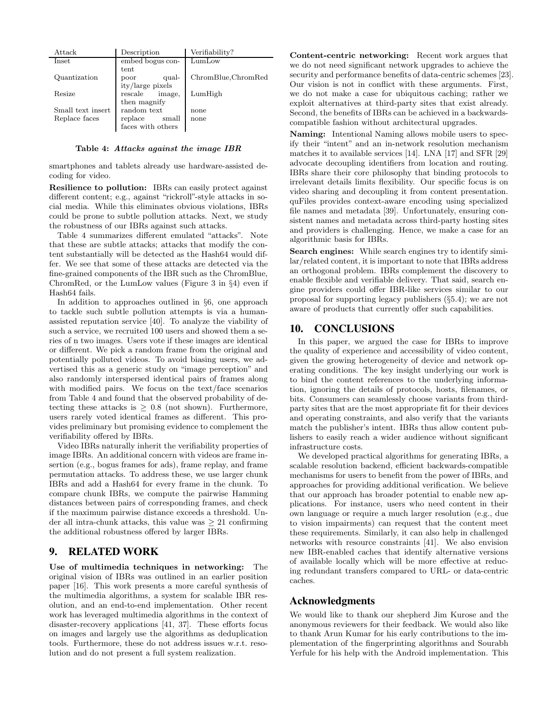| Attack                             | Description                                                          | Verifiability?      |  |
|------------------------------------|----------------------------------------------------------------------|---------------------|--|
| $\operatorname{Inset}$             | embed bogus con-                                                     | LumLow              |  |
| Quantization                       | tent<br>qual-<br>poor<br>ity/large pixels                            | ChromBlue, ChromRed |  |
| Resize                             | rescale<br>image,                                                    | LumHigh             |  |
| Small text insert<br>Replace faces | then magnify<br>random text<br>replace<br>small<br>faces with others | none<br>none        |  |

Table 4: Attacks against the image IBR

smartphones and tablets already use hardware-assisted decoding for video.

Resilience to pollution: IBRs can easily protect against different content; e.g., against "rickroll"-style attacks in social media. While this eliminates obvious violations, IBRs could be prone to subtle pollution attacks. Next, we study the robustness of our IBRs against such attacks.

Table 4 summarizes different emulated "attacks". Note that these are subtle attacks; attacks that modify the content substantially will be detected as the Hash64 would differ. We see that some of these attacks are detected via the fine-grained components of the IBR such as the ChromBlue, ChromRed, or the LumLow values (Figure 3 in §4) even if Hash64 fails.

In addition to approaches outlined in §6, one approach to tackle such subtle pollution attempts is via a humanassisted reputation service [40]. To analyze the viability of such a service, we recruited 100 users and showed them a series of n two images. Users vote if these images are identical or different. We pick a random frame from the original and potentially polluted videos. To avoid biasing users, we advertised this as a generic study on "image perception" and also randomly interspersed identical pairs of frames along with modified pairs. We focus on the text/face scenarios from Table 4 and found that the observed probability of detecting these attacks is  $\geq 0.8$  (not shown). Furthermore, users rarely voted identical frames as different. This provides preliminary but promising evidence to complement the verifiability offered by IBRs.

Video IBRs naturally inherit the verifiability properties of image IBRs. An additional concern with videos are frame insertion (e.g., bogus frames for ads), frame replay, and frame permutation attacks. To address these, we use larger chunk IBRs and add a Hash64 for every frame in the chunk. To compare chunk IBRs, we compute the pairwise Hamming distances between pairs of corresponding frames, and check if the maximum pairwise distance exceeds a threshold. Under all intra-chunk attacks, this value was  $\geq 21$  confirming the additional robustness offered by larger IBRs.

# 9. RELATED WORK

Use of multimedia techniques in networking: The original vision of IBRs was outlined in an earlier position paper [16]. This work presents a more careful synthesis of the multimedia algorithms, a system for scalable IBR resolution, and an end-to-end implementation. Other recent work has leveraged multimedia algorithms in the context of disaster-recovery applications [41, 37]. These efforts focus on images and largely use the algorithms as deduplication tools. Furthermore, these do not address issues w.r.t. resolution and do not present a full system realization.

Content-centric networking: Recent work argues that we do not need significant network upgrades to achieve the security and performance benefits of data-centric schemes [23]. Our vision is not in conflict with these arguments. First, we do not make a case for ubiquitous caching; rather we exploit alternatives at third-party sites that exist already. Second, the benefits of IBRs can be achieved in a backwardscompatible fashion without architectural upgrades.

Naming: Intentional Naming allows mobile users to specify their "intent" and an in-network resolution mechanism matches it to available services [14]. LNA [17] and SFR [29] advocate decoupling identifiers from location and routing. IBRs share their core philosophy that binding protocols to irrelevant details limits flexibility. Our specific focus is on video sharing and decoupling it from content presentation. quFiles provides context-aware encoding using specialized file names and metadata [39]. Unfortunately, ensuring consistent names and metadata across third-party hosting sites and providers is challenging. Hence, we make a case for an algorithmic basis for IBRs.

Search engines: While search engines try to identify similar/related content, it is important to note that IBRs address an orthogonal problem. IBRs complement the discovery to enable flexible and verifiable delivery. That said, search engine providers could offer IBR-like services similar to our proposal for supporting legacy publishers (§5.4); we are not aware of products that currently offer such capabilities.

# 10. CONCLUSIONS

In this paper, we argued the case for IBRs to improve the quality of experience and accessibility of video content, given the growing heterogeneity of device and network operating conditions. The key insight underlying our work is to bind the content references to the underlying information, ignoring the details of protocols, hosts, filenames, or bits. Consumers can seamlessly choose variants from thirdparty sites that are the most appropriate fit for their devices and operating constraints, and also verify that the variants match the publisher's intent. IBRs thus allow content publishers to easily reach a wider audience without significant infrastructure costs.

We developed practical algorithms for generating IBRs, a scalable resolution backend, efficient backwards-compatible mechanisms for users to benefit from the power of IBRs, and approaches for providing additional verification. We believe that our approach has broader potential to enable new applications. For instance, users who need content in their own language or require a much larger resolution (e.g., due to vision impairments) can request that the content meet these requirements. Similarly, it can also help in challenged networks with resource constraints [41]. We also envision new IBR-enabled caches that identify alternative versions of available locally which will be more effective at reducing redundant transfers compared to URL- or data-centric caches.

# Acknowledgments

We would like to thank our shepherd Jim Kurose and the anonymous reviewers for their feedback. We would also like to thank Arun Kumar for his early contributions to the implementation of the fingerprinting algorithms and Sourabh Yerfule for his help with the Android implementation. This